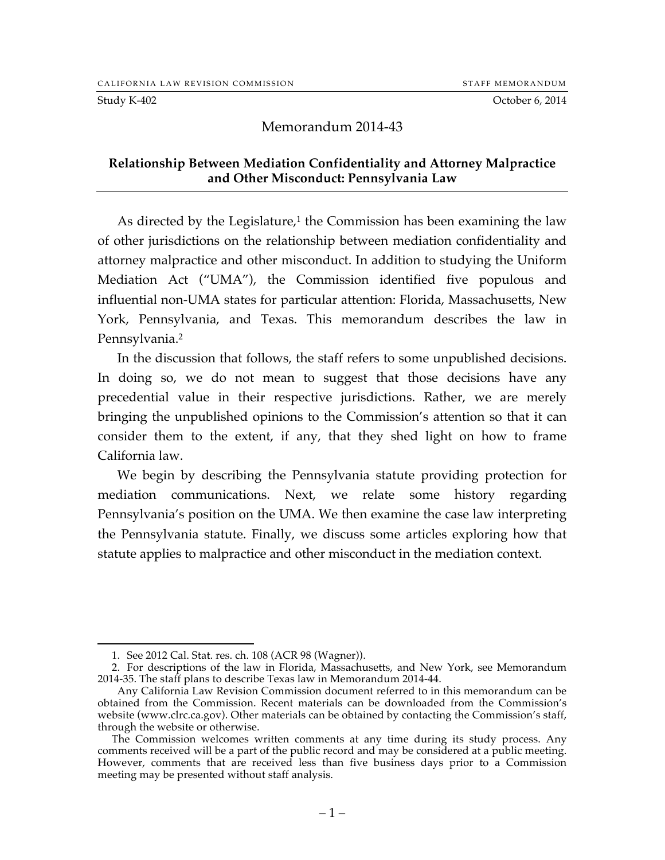Study K-402 October 6, 2014

### Memorandum 2014-43

#### **Relationship Between Mediation Confidentiality and Attorney Malpractice and Other Misconduct: Pennsylvania Law**

As directed by the Legislature, $1$  the Commission has been examining the law of other jurisdictions on the relationship between mediation confidentiality and attorney malpractice and other misconduct. In addition to studying the Uniform Mediation Act ("UMA"), the Commission identified five populous and influential non-UMA states for particular attention: Florida, Massachusetts, New York, Pennsylvania, and Texas. This memorandum describes the law in Pennsylvania.2

In the discussion that follows, the staff refers to some unpublished decisions. In doing so, we do not mean to suggest that those decisions have any precedential value in their respective jurisdictions. Rather, we are merely bringing the unpublished opinions to the Commission's attention so that it can consider them to the extent, if any, that they shed light on how to frame California law.

We begin by describing the Pennsylvania statute providing protection for mediation communications. Next, we relate some history regarding Pennsylvania's position on the UMA. We then examine the case law interpreting the Pennsylvania statute. Finally, we discuss some articles exploring how that statute applies to malpractice and other misconduct in the mediation context.

 <sup>1.</sup> See 2012 Cal. Stat. res. ch. 108 (ACR 98 (Wagner)).

<sup>2.</sup> For descriptions of the law in Florida, Massachusetts, and New York, see Memorandum 2014-35. The staff plans to describe Texas law in Memorandum 2014-44.

Any California Law Revision Commission document referred to in this memorandum can be obtained from the Commission. Recent materials can be downloaded from the Commission's website (www.clrc.ca.gov). Other materials can be obtained by contacting the Commission's staff, through the website or otherwise.

The Commission welcomes written comments at any time during its study process. Any comments received will be a part of the public record and may be considered at a public meeting. However, comments that are received less than five business days prior to a Commission meeting may be presented without staff analysis.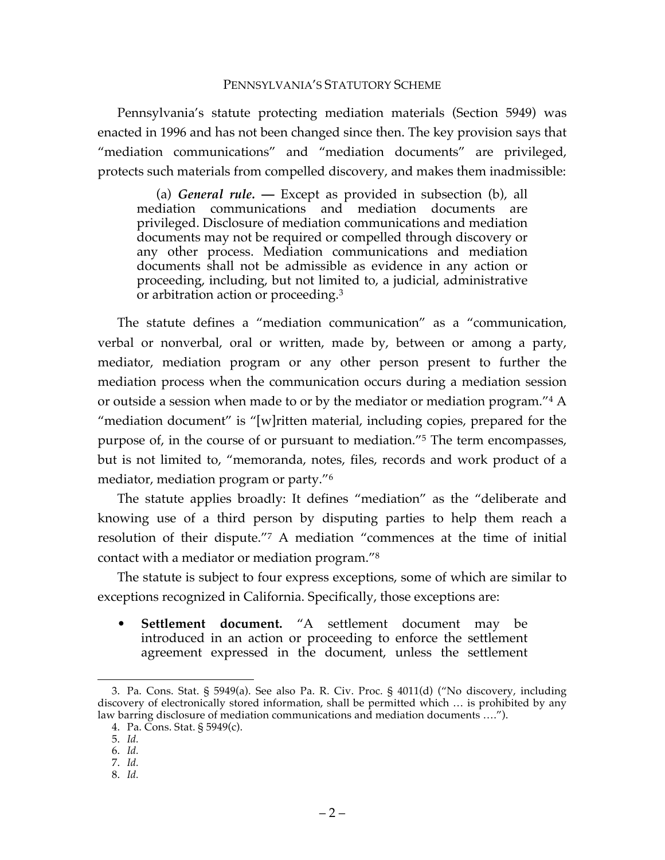#### PENNSYLVANIA'S STATUTORY SCHEME

Pennsylvania's statute protecting mediation materials (Section 5949) was enacted in 1996 and has not been changed since then. The key provision says that "mediation communications" and "mediation documents" are privileged, protects such materials from compelled discovery, and makes them inadmissible:

(a) *General rule.* **—** Except as provided in subsection (b), all mediation communications and mediation documents are privileged. Disclosure of mediation communications and mediation documents may not be required or compelled through discovery or any other process. Mediation communications and mediation documents shall not be admissible as evidence in any action or proceeding, including, but not limited to, a judicial, administrative or arbitration action or proceeding.<sup>3</sup>

The statute defines a "mediation communication" as a "communication, verbal or nonverbal, oral or written, made by, between or among a party, mediator, mediation program or any other person present to further the mediation process when the communication occurs during a mediation session or outside a session when made to or by the mediator or mediation program."4 A "mediation document" is "[w]ritten material, including copies, prepared for the purpose of, in the course of or pursuant to mediation."5 The term encompasses, but is not limited to, "memoranda, notes, files, records and work product of a mediator, mediation program or party."6

The statute applies broadly: It defines "mediation" as the "deliberate and knowing use of a third person by disputing parties to help them reach a resolution of their dispute."7 A mediation "commences at the time of initial contact with a mediator or mediation program."8

The statute is subject to four express exceptions, some of which are similar to exceptions recognized in California. Specifically, those exceptions are:

• **Settlement document.** "A settlement document may be introduced in an action or proceeding to enforce the settlement agreement expressed in the document, unless the settlement

8. *Id.*

 <sup>3.</sup> Pa. Cons. Stat. § 5949(a). See also Pa. R. Civ. Proc. § 4011(d) ("No discovery, including discovery of electronically stored information, shall be permitted which … is prohibited by any law barring disclosure of mediation communications and mediation documents ….").

<sup>4.</sup> Pa. Cons. Stat. § 5949(c).

<sup>5.</sup> *Id.*

<sup>6.</sup> *Id.*

<sup>7.</sup> *Id.*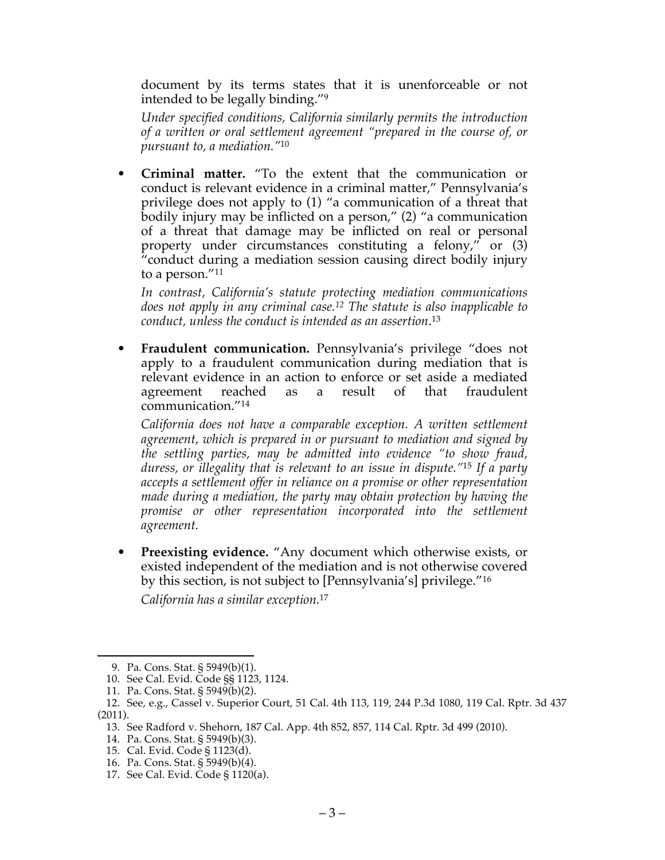document by its terms states that it is unenforceable or not intended to be legally binding."9

*Under specified conditions, California similarly permits the introduction of a written or oral settlement agreement "prepared in the course of, or pursuant to, a mediation."*<sup>10</sup>

• **Criminal matter.** "To the extent that the communication or conduct is relevant evidence in a criminal matter," Pennsylvania's privilege does not apply to (1) "a communication of a threat that bodily injury may be inflicted on a person," (2) "a communication of a threat that damage may be inflicted on real or personal property under circumstances constituting a felony," or (3) "conduct during a mediation session causing direct bodily injury to a person."11

*In contrast, California's statute protecting mediation communications does not apply in any criminal case.12 The statute is also inapplicable to conduct, unless the conduct is intended as an assertion*. 13

• **Fraudulent communication.** Pennsylvania's privilege "does not apply to a fraudulent communication during mediation that is relevant evidence in an action to enforce or set aside a mediated agreement reached as a result of that fraudulent communication."14

*California does not have a comparable exception. A written settlement agreement, which is prepared in or pursuant to mediation and signed by the settling parties, may be admitted into evidence "to show fraud, duress, or illegality that is relevant to an issue in dispute."*<sup>15</sup> *If a party accepts a settlement offer in reliance on a promise or other representation made during a mediation, the party may obtain protection by having the*  promise or other representation incorporated into the settlement *agreement.*

• **Preexisting evidence.** "Any document which otherwise exists, or existed independent of the mediation and is not otherwise covered by this section, is not subject to [Pennsylvania's] privilege."16

*California has a similar exception.*<sup>17</sup>

 <sup>9.</sup> Pa. Cons. Stat. § 5949(b)(1).

<sup>10.</sup> See Cal. Evid. Code §§ 1123, 1124.

<sup>11.</sup> Pa. Cons. Stat. § 5949(b)(2).

<sup>12.</sup> See, e.g., Cassel v. Superior Court, 51 Cal. 4th 113, 119, 244 P.3d 1080, 119 Cal. Rptr. 3d 437 (2011).

<sup>13.</sup> See Radford v. Shehorn, 187 Cal. App. 4th 852, 857, 114 Cal. Rptr. 3d 499 (2010).

<sup>14.</sup> Pa. Cons. Stat. § 5949(b)(3).

<sup>15.</sup> Cal. Evid. Code § 1123(d).

<sup>16.</sup> Pa. Cons. Stat. § 5949(b)(4).

<sup>17.</sup> See Cal. Evid. Code § 1120(a).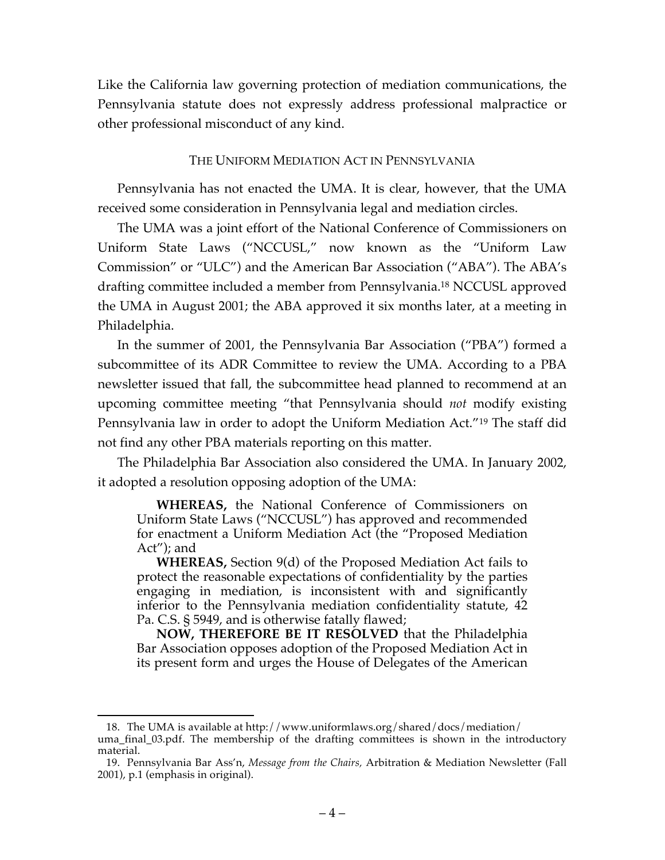Like the California law governing protection of mediation communications, the Pennsylvania statute does not expressly address professional malpractice or other professional misconduct of any kind.

#### THE UNIFORM MEDIATION ACT IN PENNSYLVANIA

Pennsylvania has not enacted the UMA. It is clear, however, that the UMA received some consideration in Pennsylvania legal and mediation circles.

The UMA was a joint effort of the National Conference of Commissioners on Uniform State Laws ("NCCUSL," now known as the "Uniform Law Commission" or "ULC") and the American Bar Association ("ABA"). The ABA's drafting committee included a member from Pennsylvania.18 NCCUSL approved the UMA in August 2001; the ABA approved it six months later, at a meeting in Philadelphia.

In the summer of 2001, the Pennsylvania Bar Association ("PBA") formed a subcommittee of its ADR Committee to review the UMA. According to a PBA newsletter issued that fall, the subcommittee head planned to recommend at an upcoming committee meeting "that Pennsylvania should *not* modify existing Pennsylvania law in order to adopt the Uniform Mediation Act."19 The staff did not find any other PBA materials reporting on this matter.

The Philadelphia Bar Association also considered the UMA. In January 2002, it adopted a resolution opposing adoption of the UMA:

**WHEREAS,** the National Conference of Commissioners on Uniform State Laws ("NCCUSL") has approved and recommended for enactment a Uniform Mediation Act (the "Proposed Mediation Act"); and

**WHEREAS,** Section 9(d) of the Proposed Mediation Act fails to protect the reasonable expectations of confidentiality by the parties engaging in mediation, is inconsistent with and significantly inferior to the Pennsylvania mediation confidentiality statute, 42 Pa. C.S. § 5949, and is otherwise fatally flawed;

**NOW, THEREFORE BE IT RESOLVED** that the Philadelphia Bar Association opposes adoption of the Proposed Mediation Act in its present form and urges the House of Delegates of the American

 <sup>18.</sup> The UMA is available at http://www.uniformlaws.org/shared/docs/mediation/ uma\_final\_03.pdf. The membership of the drafting committees is shown in the introductory material.

<sup>19.</sup> Pennsylvania Bar Ass'n, *Message from the Chairs,* Arbitration & Mediation Newsletter (Fall 2001), p.1 (emphasis in original).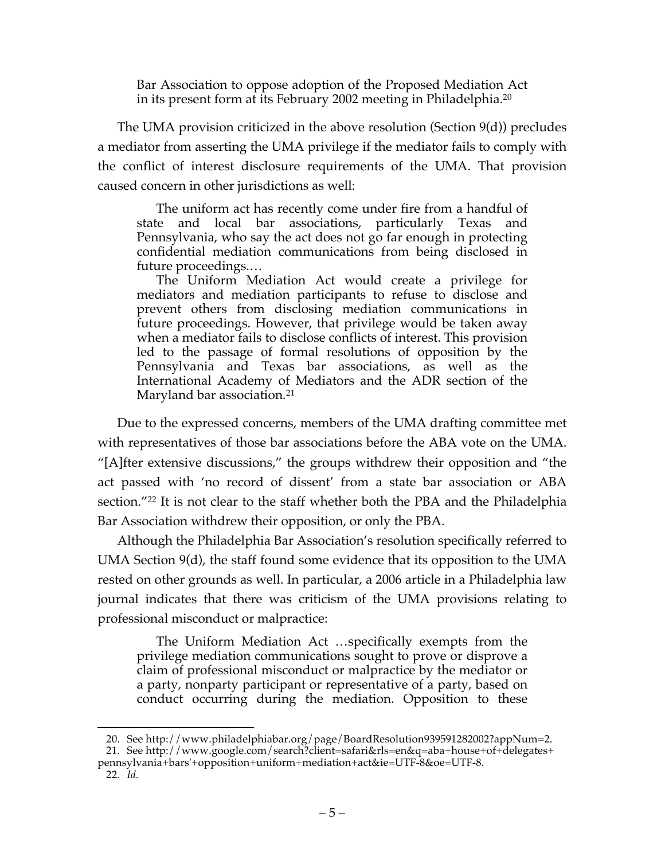Bar Association to oppose adoption of the Proposed Mediation Act in its present form at its February 2002 meeting in Philadelphia.20

The UMA provision criticized in the above resolution (Section 9(d)) precludes a mediator from asserting the UMA privilege if the mediator fails to comply with the conflict of interest disclosure requirements of the UMA. That provision caused concern in other jurisdictions as well:

The uniform act has recently come under fire from a handful of state and local bar associations, particularly Texas and Pennsylvania, who say the act does not go far enough in protecting confidential mediation communications from being disclosed in future proceedings.…

The Uniform Mediation Act would create a privilege for mediators and mediation participants to refuse to disclose and prevent others from disclosing mediation communications in future proceedings. However, that privilege would be taken away when a mediator fails to disclose conflicts of interest. This provision led to the passage of formal resolutions of opposition by the Pennsylvania and Texas bar associations, as well as the International Academy of Mediators and the ADR section of the Maryland bar association.<sup>21</sup>

Due to the expressed concerns, members of the UMA drafting committee met with representatives of those bar associations before the ABA vote on the UMA. "[A]fter extensive discussions," the groups withdrew their opposition and "the act passed with 'no record of dissent' from a state bar association or ABA section."<sup>22</sup> It is not clear to the staff whether both the PBA and the Philadelphia Bar Association withdrew their opposition, or only the PBA.

Although the Philadelphia Bar Association's resolution specifically referred to UMA Section 9(d), the staff found some evidence that its opposition to the UMA rested on other grounds as well. In particular, a 2006 article in a Philadelphia law journal indicates that there was criticism of the UMA provisions relating to professional misconduct or malpractice:

The Uniform Mediation Act …specifically exempts from the privilege mediation communications sought to prove or disprove a claim of professional misconduct or malpractice by the mediator or a party, nonparty participant or representative of a party, based on conduct occurring during the mediation. Opposition to these

 <sup>20.</sup> See http://www.philadelphiabar.org/page/BoardResolution939591282002?appNum=2.

<sup>21.</sup> See http://www.google.com/search?client=safari&rls=en&q=aba+house+of+delegates+ pennsylvania+bars'+opposition+uniform+mediation+act&ie=UTF-8&oe=UTF-8.

<sup>22.</sup> *Id.*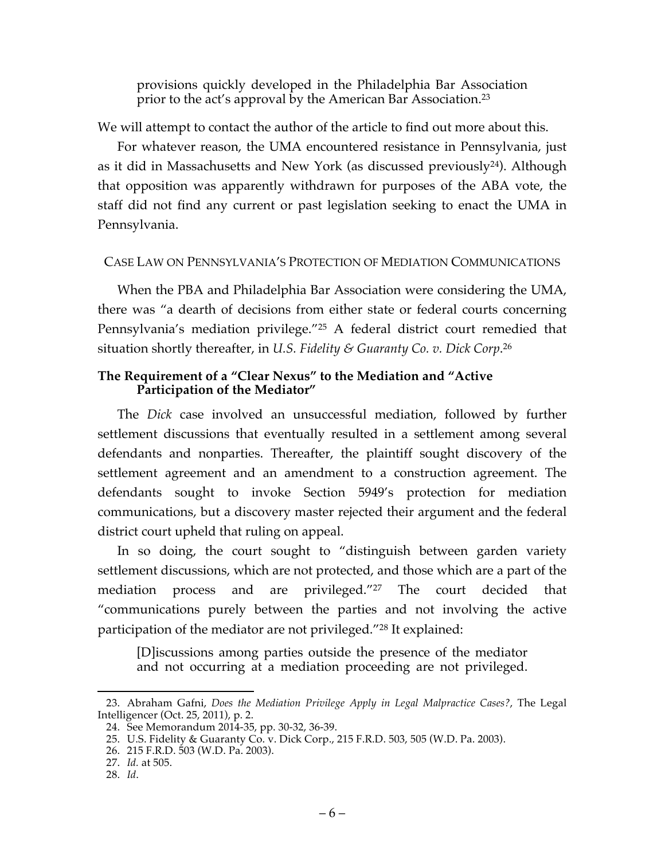provisions quickly developed in the Philadelphia Bar Association prior to the act's approval by the American Bar Association.23

We will attempt to contact the author of the article to find out more about this.

For whatever reason, the UMA encountered resistance in Pennsylvania, just as it did in Massachusetts and New York (as discussed previously24). Although that opposition was apparently withdrawn for purposes of the ABA vote, the staff did not find any current or past legislation seeking to enact the UMA in Pennsylvania.

# CASE LAW ON PENNSYLVANIA'S PROTECTION OF MEDIATION COMMUNICATIONS

When the PBA and Philadelphia Bar Association were considering the UMA, there was "a dearth of decisions from either state or federal courts concerning Pennsylvania's mediation privilege."25 A federal district court remedied that situation shortly thereafter, in *U.S. Fidelity & Guaranty Co. v. Dick Corp*. 26

## **The Requirement of a "Clear Nexus" to the Mediation and "Active Participation of the Mediator"**

The *Dick* case involved an unsuccessful mediation, followed by further settlement discussions that eventually resulted in a settlement among several defendants and nonparties. Thereafter, the plaintiff sought discovery of the settlement agreement and an amendment to a construction agreement. The defendants sought to invoke Section 5949's protection for mediation communications, but a discovery master rejected their argument and the federal district court upheld that ruling on appeal.

In so doing, the court sought to "distinguish between garden variety settlement discussions, which are not protected, and those which are a part of the mediation process and are privileged."27 The court decided that "communications purely between the parties and not involving the active participation of the mediator are not privileged."28 It explained:

[D]iscussions among parties outside the presence of the mediator and not occurring at a mediation proceeding are not privileged.

 <sup>23.</sup> Abraham Gafni, *Does the Mediation Privilege Apply in Legal Malpractice Cases?*, The Legal Intelligencer (Oct. 25, 2011), p. 2.

<sup>24.</sup> See Memorandum 2014-35, pp. 30-32, 36-39.

<sup>25.</sup> U.S. Fidelity & Guaranty Co. v. Dick Corp., 215 F.R.D. 503, 505 (W.D. Pa. 2003).

<sup>26.</sup> 215 F.R.D. 503 (W.D. Pa. 2003).

<sup>27.</sup> *Id.* at 505.

<sup>28.</sup> *Id*.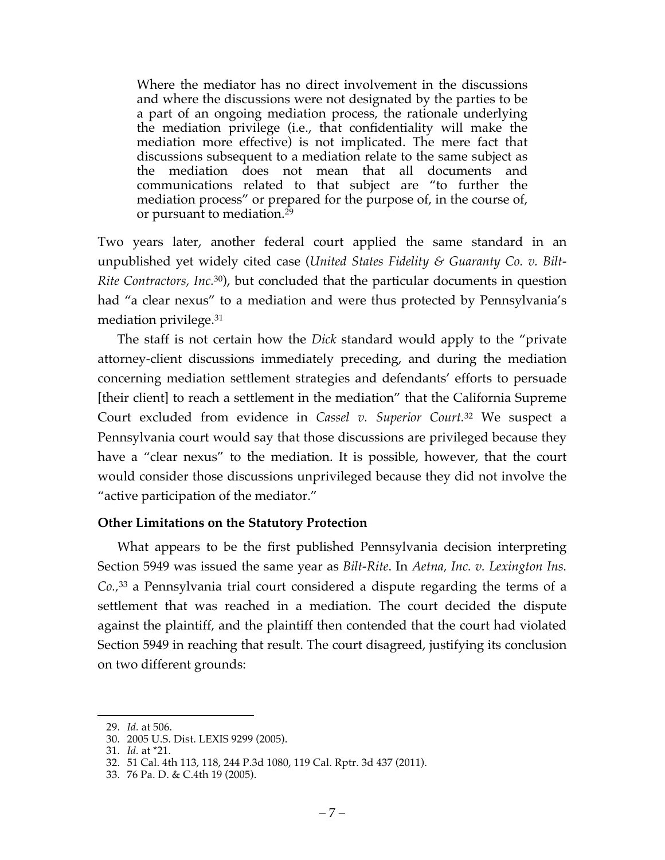Where the mediator has no direct involvement in the discussions and where the discussions were not designated by the parties to be a part of an ongoing mediation process, the rationale underlying the mediation privilege (i.e., that confidentiality will make the mediation more effective) is not implicated. The mere fact that discussions subsequent to a mediation relate to the same subject as the mediation does not mean that all documents and communications related to that subject are "to further the mediation process" or prepared for the purpose of, in the course of, or pursuant to mediation.<sup>29</sup>

Two years later, another federal court applied the same standard in an unpublished yet widely cited case (*United States Fidelity & Guaranty Co. v. Bilt-Rite Contractors, Inc.* 30), but concluded that the particular documents in question had "a clear nexus" to a mediation and were thus protected by Pennsylvania's mediation privilege.31

The staff is not certain how the *Dick* standard would apply to the "private attorney-client discussions immediately preceding, and during the mediation concerning mediation settlement strategies and defendants' efforts to persuade [their client] to reach a settlement in the mediation" that the California Supreme Court excluded from evidence in *Cassel v. Superior Court.*<sup>32</sup> We suspect a Pennsylvania court would say that those discussions are privileged because they have a "clear nexus" to the mediation. It is possible, however, that the court would consider those discussions unprivileged because they did not involve the "active participation of the mediator."

## **Other Limitations on the Statutory Protection**

What appears to be the first published Pennsylvania decision interpreting Section 5949 was issued the same year as *Bilt-Rite*. In *Aetna, Inc. v. Lexington Ins. Co.,*<sup>33</sup> a Pennsylvania trial court considered a dispute regarding the terms of a settlement that was reached in a mediation. The court decided the dispute against the plaintiff, and the plaintiff then contended that the court had violated Section 5949 in reaching that result. The court disagreed, justifying its conclusion on two different grounds:

 <sup>29.</sup> *Id.* at 506.

<sup>30.</sup> 2005 U.S. Dist. LEXIS 9299 (2005).

<sup>31.</sup> *Id.* at \*21.

<sup>32.</sup> 51 Cal. 4th 113, 118, 244 P.3d 1080, 119 Cal. Rptr. 3d 437 (2011).

<sup>33.</sup> 76 Pa. D. & C.4th 19 (2005).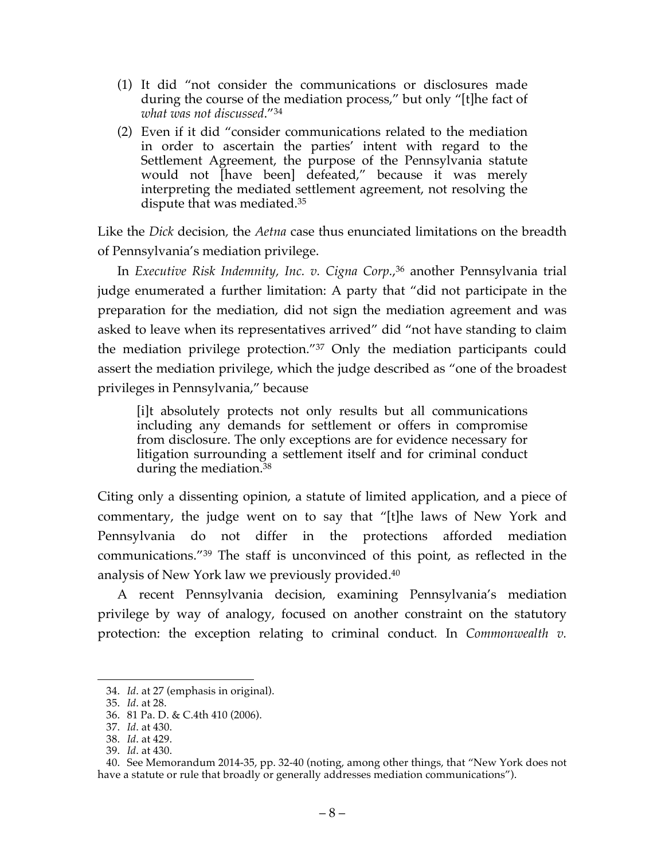- (1) It did "not consider the communications or disclosures made during the course of the mediation process," but only "[t]he fact of *what was not discussed*."34
- (2) Even if it did "consider communications related to the mediation in order to ascertain the parties' intent with regard to the Settlement Agreement, the purpose of the Pennsylvania statute would not [have been] defeated," because it was merely interpreting the mediated settlement agreement, not resolving the dispute that was mediated.35

Like the *Dick* decision*,* the *Aetna* case thus enunciated limitations on the breadth of Pennsylvania's mediation privilege.

In *Executive Risk Indemnity, Inc. v. Cigna Corp.*, <sup>36</sup> another Pennsylvania trial judge enumerated a further limitation: A party that "did not participate in the preparation for the mediation, did not sign the mediation agreement and was asked to leave when its representatives arrived" did "not have standing to claim the mediation privilege protection."37 Only the mediation participants could assert the mediation privilege, which the judge described as "one of the broadest privileges in Pennsylvania," because

[i]t absolutely protects not only results but all communications including any demands for settlement or offers in compromise from disclosure. The only exceptions are for evidence necessary for litigation surrounding a settlement itself and for criminal conduct during the mediation.38

Citing only a dissenting opinion, a statute of limited application, and a piece of commentary, the judge went on to say that "[t]he laws of New York and Pennsylvania do not differ in the protections afforded mediation communications."39 The staff is unconvinced of this point, as reflected in the analysis of New York law we previously provided.40

A recent Pennsylvania decision, examining Pennsylvania's mediation privilege by way of analogy, focused on another constraint on the statutory protection: the exception relating to criminal conduct*.* In *Commonwealth v.* 

 <sup>34.</sup> *Id*. at 27 (emphasis in original).

<sup>35.</sup> *Id*. at 28.

<sup>36.</sup> 81 Pa. D. & C.4th 410 (2006).

<sup>37.</sup> *Id*. at 430.

<sup>38.</sup> *Id*. at 429.

<sup>39.</sup> *Id*. at 430.

<sup>40.</sup> See Memorandum 2014-35, pp. 32-40 (noting, among other things, that "New York does not have a statute or rule that broadly or generally addresses mediation communications").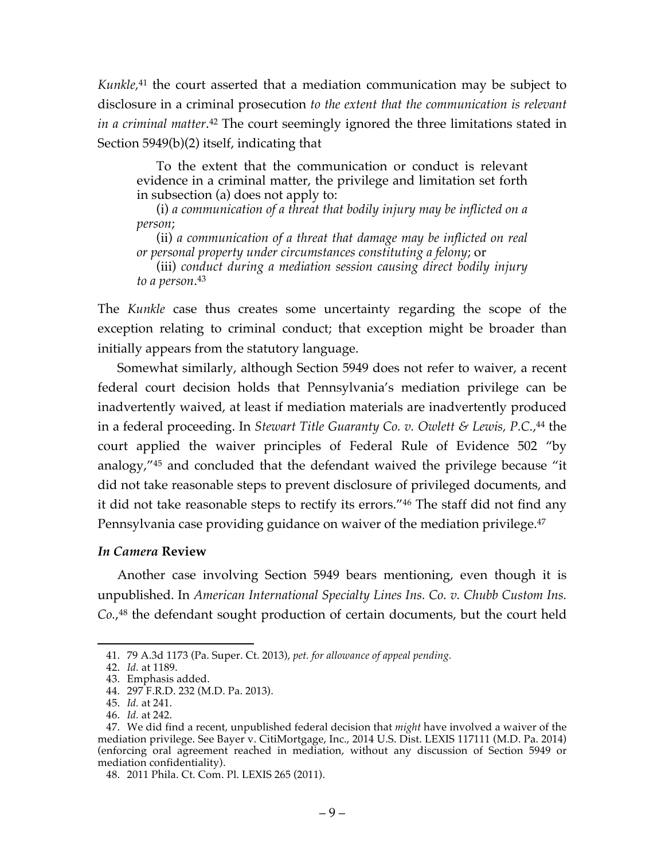*Kunkle,*<sup>41</sup> the court asserted that a mediation communication may be subject to disclosure in a criminal prosecution *to the extent that the communication is relevant in a criminal matter*.<sup>42</sup> The court seemingly ignored the three limitations stated in Section 5949(b)(2) itself, indicating that

To the extent that the communication or conduct is relevant evidence in a criminal matter, the privilege and limitation set forth in subsection (a) does not apply to:

(i) *a communication of a threat that bodily injury may be inflicted on a person*;

(ii) *a communication of a threat that damage may be inflicted on real or personal property under circumstances constituting a felony*; or

(iii) *conduct during a mediation session causing direct bodily injury to a person*. 43

The *Kunkle* case thus creates some uncertainty regarding the scope of the exception relating to criminal conduct; that exception might be broader than initially appears from the statutory language.

Somewhat similarly, although Section 5949 does not refer to waiver, a recent federal court decision holds that Pennsylvania's mediation privilege can be inadvertently waived, at least if mediation materials are inadvertently produced in a federal proceeding. In *Stewart Title Guaranty Co. v. Owlett & Lewis, P.C.*, <sup>44</sup> the court applied the waiver principles of Federal Rule of Evidence 502 "by analogy,"45 and concluded that the defendant waived the privilege because "it did not take reasonable steps to prevent disclosure of privileged documents, and it did not take reasonable steps to rectify its errors."46 The staff did not find any Pennsylvania case providing guidance on waiver of the mediation privilege.<sup>47</sup>

## *In Camera* **Review**

Another case involving Section 5949 bears mentioning, even though it is unpublished. In *American International Specialty Lines Ins. Co. v. Chubb Custom Ins. Co.*, <sup>48</sup> the defendant sought production of certain documents, but the court held

 <sup>41.</sup> 79 A.3d 1173 (Pa. Super. Ct. 2013), *pet. for allowance of appeal pending.*

<sup>42.</sup> *Id.* at 1189.

<sup>43.</sup> Emphasis added.

<sup>44.</sup> 297 F.R.D. 232 (M.D. Pa. 2013).

<sup>45.</sup> *Id.* at 241.

<sup>46.</sup> *Id.* at 242.

<sup>47.</sup> We did find a recent, unpublished federal decision that *might* have involved a waiver of the mediation privilege. See Bayer v. CitiMortgage, Inc., 2014 U.S. Dist. LEXIS 117111 (M.D. Pa. 2014) (enforcing oral agreement reached in mediation, without any discussion of Section 5949 or mediation confidentiality).

<sup>48.</sup> 2011 Phila. Ct. Com. Pl. LEXIS 265 (2011).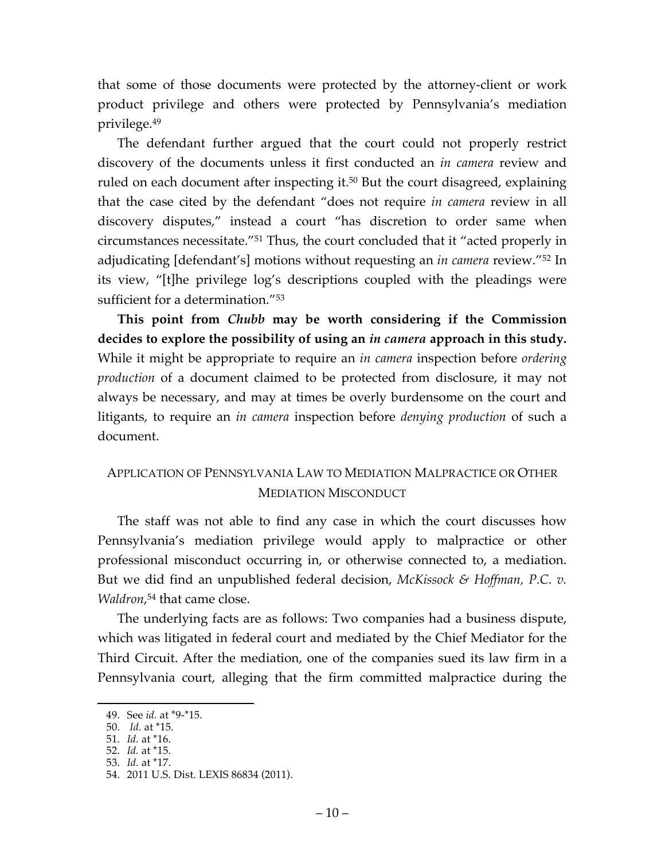that some of those documents were protected by the attorney-client or work product privilege and others were protected by Pennsylvania's mediation privilege.49

The defendant further argued that the court could not properly restrict discovery of the documents unless it first conducted an *in camera* review and ruled on each document after inspecting it. <sup>50</sup> But the court disagreed, explaining that the case cited by the defendant "does not require *in camera* review in all discovery disputes," instead a court "has discretion to order same when circumstances necessitate."51 Thus, the court concluded that it "acted properly in adjudicating [defendant's] motions without requesting an *in camera* review."52 In its view, "[t]he privilege log's descriptions coupled with the pleadings were sufficient for a determination."53

**This point from** *Chubb* **may be worth considering if the Commission decides to explore the possibility of using an** *in camera* **approach in this study.**  While it might be appropriate to require an *in camera* inspection before *ordering production* of a document claimed to be protected from disclosure, it may not always be necessary, and may at times be overly burdensome on the court and litigants, to require an *in camera* inspection before *denying production* of such a document.

# APPLICATION OF PENNSYLVANIA LAW TO MEDIATION MALPRACTICE OR OTHER MEDIATION MISCONDUCT

The staff was not able to find any case in which the court discusses how Pennsylvania's mediation privilege would apply to malpractice or other professional misconduct occurring in, or otherwise connected to, a mediation. But we did find an unpublished federal decision, *McKissock & Hoffman, P.C. v. Waldron*, <sup>54</sup> that came close.

The underlying facts are as follows: Two companies had a business dispute, which was litigated in federal court and mediated by the Chief Mediator for the Third Circuit. After the mediation, one of the companies sued its law firm in a Pennsylvania court, alleging that the firm committed malpractice during the

 <sup>49.</sup> See *id.* at \*9-\*15.

<sup>50.</sup> *Id.* at \*15.

<sup>51.</sup> *Id.* at \*16.

<sup>52.</sup> *Id.* at \*15.

<sup>53.</sup> *Id.* at \*17.

<sup>54.</sup> 2011 U.S. Dist. LEXIS 86834 (2011).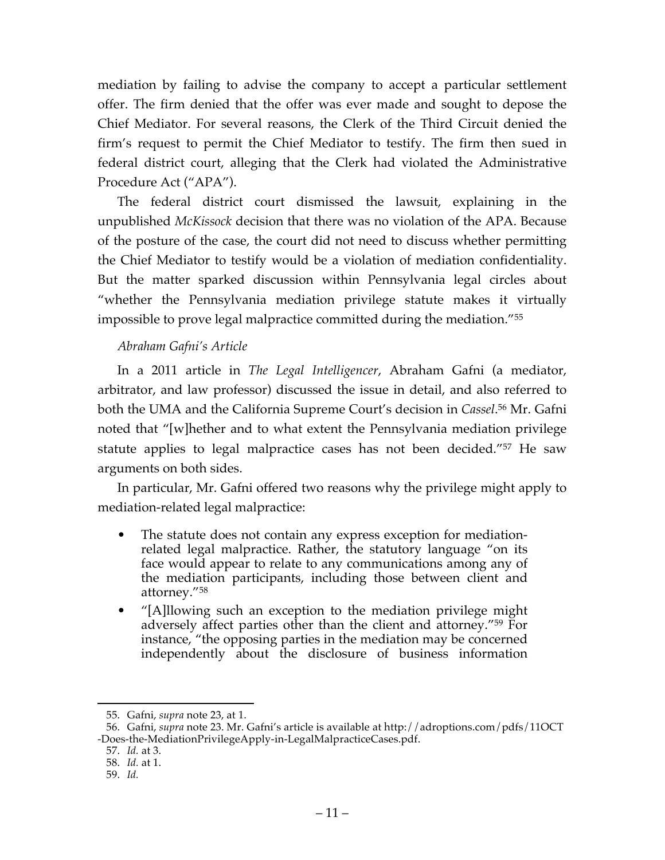mediation by failing to advise the company to accept a particular settlement offer. The firm denied that the offer was ever made and sought to depose the Chief Mediator. For several reasons, the Clerk of the Third Circuit denied the firm's request to permit the Chief Mediator to testify. The firm then sued in federal district court, alleging that the Clerk had violated the Administrative Procedure Act ("APA").

The federal district court dismissed the lawsuit, explaining in the unpublished *McKissock* decision that there was no violation of the APA. Because of the posture of the case, the court did not need to discuss whether permitting the Chief Mediator to testify would be a violation of mediation confidentiality. But the matter sparked discussion within Pennsylvania legal circles about "whether the Pennsylvania mediation privilege statute makes it virtually impossible to prove legal malpractice committed during the mediation."55

## *Abraham Gafni's Article*

In a 2011 article in *The Legal Intelligencer*, Abraham Gafni (a mediator, arbitrator, and law professor) discussed the issue in detail, and also referred to both the UMA and the California Supreme Court's decision in *Cassel*. <sup>56</sup> Mr. Gafni noted that "[w]hether and to what extent the Pennsylvania mediation privilege statute applies to legal malpractice cases has not been decided."57 He saw arguments on both sides.

In particular, Mr. Gafni offered two reasons why the privilege might apply to mediation-related legal malpractice:

- The statute does not contain any express exception for mediationrelated legal malpractice. Rather, the statutory language "on its face would appear to relate to any communications among any of the mediation participants, including those between client and attorney."58
- "[A]llowing such an exception to the mediation privilege might adversely affect parties other than the client and attorney."59 For instance, "the opposing parties in the mediation may be concerned independently about the disclosure of business information

 <sup>55.</sup> Gafni, *supra* note 23, at 1.

<sup>56.</sup> Gafni, *supra* note 23. Mr. Gafni's article is available at http://adroptions.com/pdfs/11OCT -Does-the-MediationPrivilegeApply-in-LegalMalpracticeCases.pdf.

<sup>57.</sup> *Id.* at 3.

<sup>58.</sup> *Id.* at 1.

<sup>59.</sup> *Id.*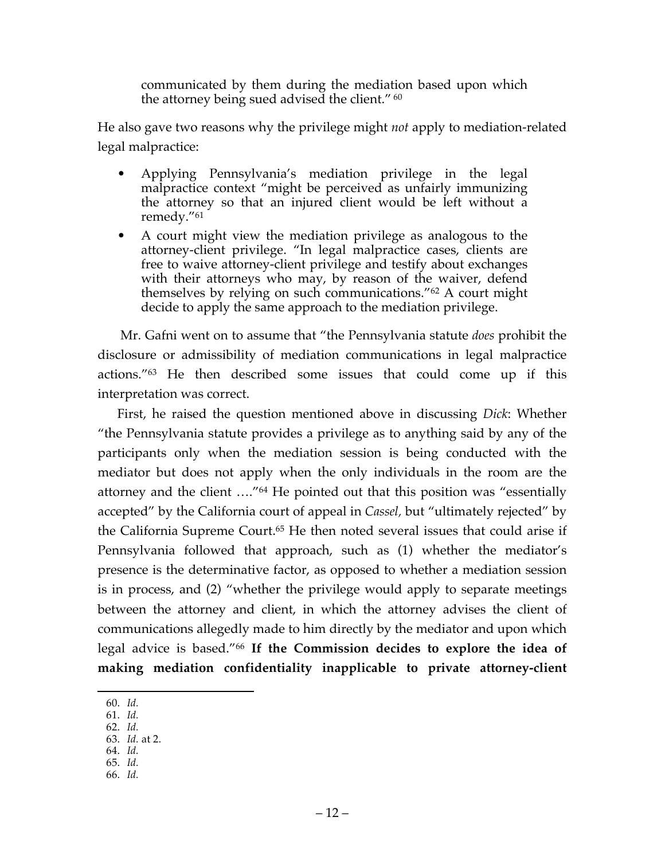communicated by them during the mediation based upon which the attorney being sued advised the client." <sup>60</sup>

He also gave two reasons why the privilege might *not* apply to mediation-related legal malpractice:

- Applying Pennsylvania's mediation privilege in the legal malpractice context "might be perceived as unfairly immunizing the attorney so that an injured client would be left without a remedy."61
- A court might view the mediation privilege as analogous to the attorney-client privilege. "In legal malpractice cases, clients are free to waive attorney-client privilege and testify about exchanges with their attorneys who may, by reason of the waiver, defend themselves by relying on such communications."62 A court might decide to apply the same approach to the mediation privilege.

Mr. Gafni went on to assume that "the Pennsylvania statute *does* prohibit the disclosure or admissibility of mediation communications in legal malpractice actions."63 He then described some issues that could come up if this interpretation was correct.

First, he raised the question mentioned above in discussing *Dick*: Whether "the Pennsylvania statute provides a privilege as to anything said by any of the participants only when the mediation session is being conducted with the mediator but does not apply when the only individuals in the room are the attorney and the client …."64 He pointed out that this position was "essentially accepted" by the California court of appeal in *Cassel,* but "ultimately rejected" by the California Supreme Court.<sup>65</sup> He then noted several issues that could arise if Pennsylvania followed that approach, such as (1) whether the mediator's presence is the determinative factor, as opposed to whether a mediation session is in process, and (2) "whether the privilege would apply to separate meetings between the attorney and client, in which the attorney advises the client of communications allegedly made to him directly by the mediator and upon which legal advice is based."66 **If the Commission decides to explore the idea of making mediation confidentiality inapplicable to private attorney-client** 

- 61. *Id.*
- 62. *Id.* 63. *Id.* at 2.
- 64. *Id.*
- 65. *Id.*
- 66. *Id.*

 <sup>60.</sup> *Id.*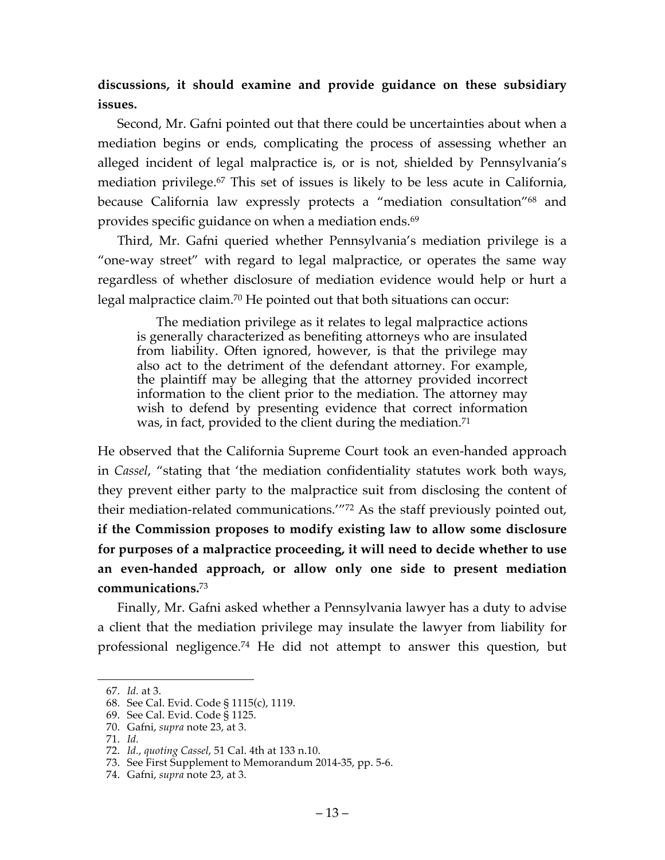**discussions, it should examine and provide guidance on these subsidiary issues.**

Second, Mr. Gafni pointed out that there could be uncertainties about when a mediation begins or ends, complicating the process of assessing whether an alleged incident of legal malpractice is, or is not, shielded by Pennsylvania's mediation privilege.67 This set of issues is likely to be less acute in California, because California law expressly protects a "mediation consultation"<sup>68</sup> and provides specific guidance on when a mediation ends.<sup>69</sup>

Third, Mr. Gafni queried whether Pennsylvania's mediation privilege is a "one-way street" with regard to legal malpractice, or operates the same way regardless of whether disclosure of mediation evidence would help or hurt a legal malpractice claim. <sup>70</sup> He pointed out that both situations can occur:

The mediation privilege as it relates to legal malpractice actions is generally characterized as benefiting attorneys who are insulated from liability. Often ignored, however, is that the privilege may also act to the detriment of the defendant attorney. For example, the plaintiff may be alleging that the attorney provided incorrect information to the client prior to the mediation. The attorney may wish to defend by presenting evidence that correct information was, in fact, provided to the client during the mediation.<sup>71</sup>

He observed that the California Supreme Court took an even-handed approach in *Cassel*, "stating that 'the mediation confidentiality statutes work both ways, they prevent either party to the malpractice suit from disclosing the content of their mediation-related communications.'"72 As the staff previously pointed out, **if the Commission proposes to modify existing law to allow some disclosure for purposes of a malpractice proceeding, it will need to decide whether to use an even-handed approach, or allow only one side to present mediation communications.**<sup>73</sup>

Finally, Mr. Gafni asked whether a Pennsylvania lawyer has a duty to advise a client that the mediation privilege may insulate the lawyer from liability for professional negligence.74 He did not attempt to answer this question, but

 <sup>67.</sup> *Id.* at 3.

<sup>68.</sup> See Cal. Evid. Code § 1115(c), 1119.

<sup>69.</sup> See Cal. Evid. Code § 1125.

<sup>70.</sup> Gafni, *supra* note 23, at 3.

<sup>71.</sup> *Id.*

<sup>72.</sup> *Id.*, *quoting Cassel*, 51 Cal. 4th at 133 n.10.

<sup>73.</sup> See First Supplement to Memorandum 2014-35, pp. 5-6.

<sup>74.</sup> Gafni, *supra* note 23, at 3.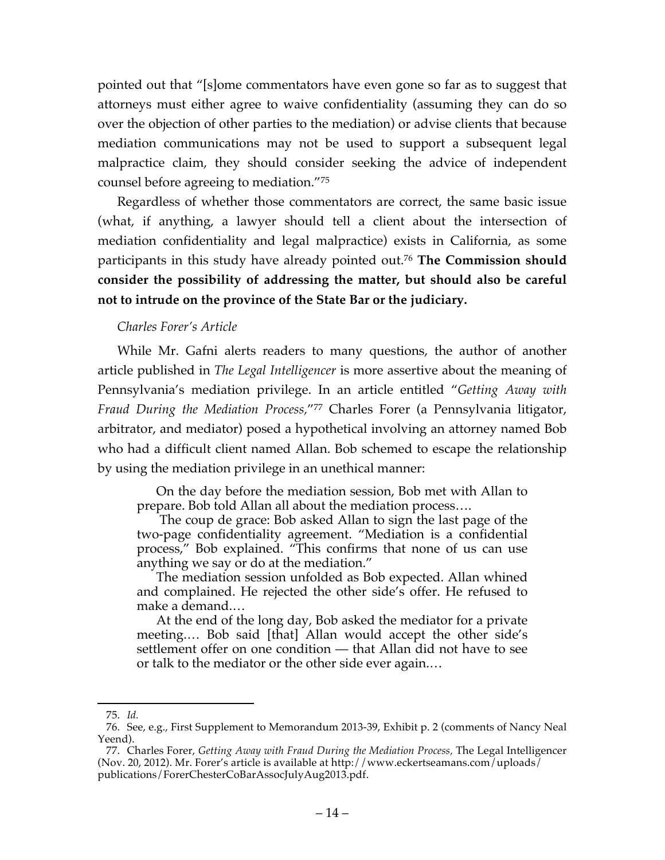pointed out that "[s]ome commentators have even gone so far as to suggest that attorneys must either agree to waive confidentiality (assuming they can do so over the objection of other parties to the mediation) or advise clients that because mediation communications may not be used to support a subsequent legal malpractice claim, they should consider seeking the advice of independent counsel before agreeing to mediation."75

Regardless of whether those commentators are correct, the same basic issue (what, if anything, a lawyer should tell a client about the intersection of mediation confidentiality and legal malpractice) exists in California, as some participants in this study have already pointed out. <sup>76</sup> **The Commission should consider the possibility of addressing the matter, but should also be careful not to intrude on the province of the State Bar or the judiciary.**

#### *Charles Forer's Article*

While Mr. Gafni alerts readers to many questions, the author of another article published in *The Legal Intelligencer* is more assertive about the meaning of Pennsylvania's mediation privilege. In an article entitled "*Getting Away with Fraud During the Mediation Process,*"77 Charles Forer (a Pennsylvania litigator, arbitrator, and mediator) posed a hypothetical involving an attorney named Bob who had a difficult client named Allan. Bob schemed to escape the relationship by using the mediation privilege in an unethical manner:

On the day before the mediation session, Bob met with Allan to prepare. Bob told Allan all about the mediation process….

The coup de grace: Bob asked Allan to sign the last page of the two-page confidentiality agreement. "Mediation is a confidential process," Bob explained. "This confirms that none of us can use anything we say or do at the mediation."

The mediation session unfolded as Bob expected. Allan whined and complained. He rejected the other side's offer. He refused to make a demand.…

At the end of the long day, Bob asked the mediator for a private meeting.… Bob said [that] Allan would accept the other side's settlement offer on one condition — that Allan did not have to see or talk to the mediator or the other side ever again.…

 <sup>75.</sup> *Id.*

<sup>76.</sup> See, e.g., First Supplement to Memorandum 2013-39, Exhibit p. 2 (comments of Nancy Neal Yeend).

<sup>77.</sup> Charles Forer, *Getting Away with Fraud During the Mediation Process,* The Legal Intelligencer (Nov. 20, 2012). Mr. Forer's article is available at http://www.eckertseamans.com/uploads/ publications/ForerChesterCoBarAssocJulyAug2013.pdf.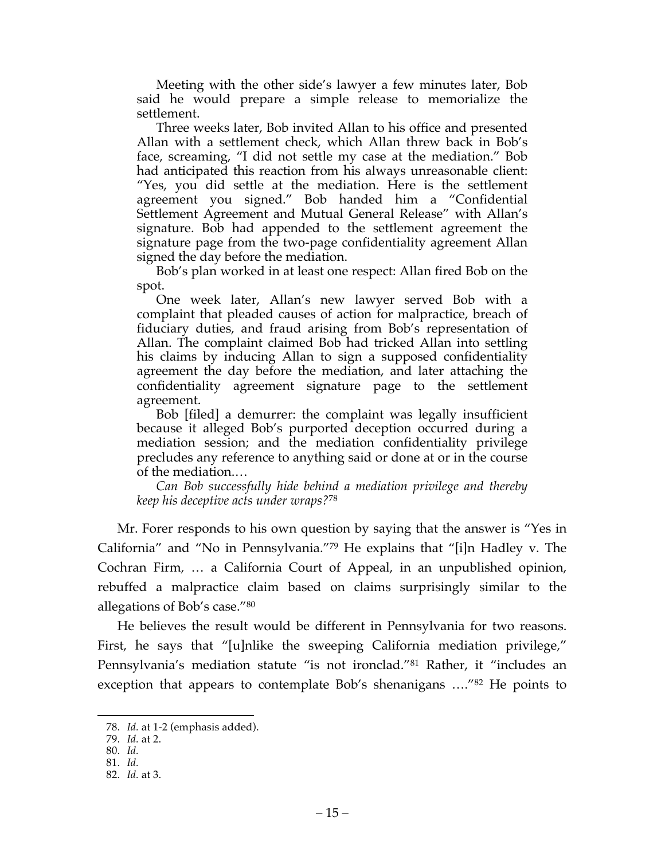Meeting with the other side's lawyer a few minutes later, Bob said he would prepare a simple release to memorialize the settlement.

Three weeks later, Bob invited Allan to his office and presented Allan with a settlement check, which Allan threw back in Bob's face, screaming, "I did not settle my case at the mediation." Bob had anticipated this reaction from his always unreasonable client: "Yes, you did settle at the mediation. Here is the settlement agreement you signed." Bob handed him a "Confidential Settlement Agreement and Mutual General Release" with Allan's signature. Bob had appended to the settlement agreement the signature page from the two-page confidentiality agreement Allan signed the day before the mediation.

Bob's plan worked in at least one respect: Allan fired Bob on the spot.

One week later, Allan's new lawyer served Bob with a complaint that pleaded causes of action for malpractice, breach of fiduciary duties, and fraud arising from Bob's representation of Allan. The complaint claimed Bob had tricked Allan into settling his claims by inducing Allan to sign a supposed confidentiality agreement the day before the mediation, and later attaching the confidentiality agreement signature page to the settlement agreement.

Bob [filed] a demurrer: the complaint was legally insufficient because it alleged Bob's purported deception occurred during a mediation session; and the mediation confidentiality privilege precludes any reference to anything said or done at or in the course of the mediation.…

*Can Bob successfully hide behind a mediation privilege and thereby keep his deceptive acts under wraps?*<sup>78</sup>

Mr. Forer responds to his own question by saying that the answer is "Yes in California" and "No in Pennsylvania."79 He explains that "[i]n Hadley v. The Cochran Firm, … a California Court of Appeal, in an unpublished opinion, rebuffed a malpractice claim based on claims surprisingly similar to the allegations of Bob's case."80

He believes the result would be different in Pennsylvania for two reasons. First, he says that "[u]nlike the sweeping California mediation privilege," Pennsylvania's mediation statute "is not ironclad."81 Rather, it "includes an exception that appears to contemplate Bob's shenanigans …."82 He points to

 <sup>78.</sup> *Id.* at 1-2 (emphasis added).

<sup>79.</sup> *Id.* at 2.

<sup>80.</sup> *Id.*

<sup>81.</sup> *Id.*

<sup>82.</sup> *Id.* at 3.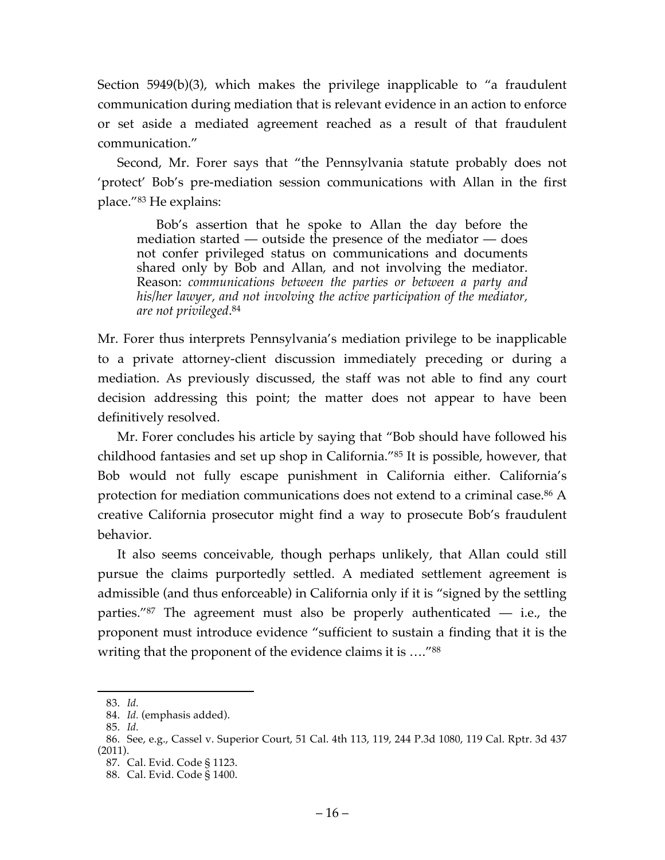Section 5949(b)(3), which makes the privilege inapplicable to "a fraudulent communication during mediation that is relevant evidence in an action to enforce or set aside a mediated agreement reached as a result of that fraudulent communication."

Second, Mr. Forer says that "the Pennsylvania statute probably does not 'protect' Bob's pre-mediation session communications with Allan in the first place."83 He explains:

Bob's assertion that he spoke to Allan the day before the mediation started — outside the presence of the mediator — does not confer privileged status on communications and documents shared only by Bob and Allan, and not involving the mediator. Reason: *communications between the parties or between a party and his/her lawyer, and not involving the active participation of the mediator, are not privileged*. 84

Mr. Forer thus interprets Pennsylvania's mediation privilege to be inapplicable to a private attorney-client discussion immediately preceding or during a mediation. As previously discussed, the staff was not able to find any court decision addressing this point; the matter does not appear to have been definitively resolved.

Mr. Forer concludes his article by saying that "Bob should have followed his childhood fantasies and set up shop in California."85 It is possible, however, that Bob would not fully escape punishment in California either. California's protection for mediation communications does not extend to a criminal case.<sup>86</sup> A creative California prosecutor might find a way to prosecute Bob's fraudulent behavior.

It also seems conceivable, though perhaps unlikely, that Allan could still pursue the claims purportedly settled. A mediated settlement agreement is admissible (and thus enforceable) in California only if it is "signed by the settling parties."87 The agreement must also be properly authenticated — i.e., the proponent must introduce evidence "sufficient to sustain a finding that it is the writing that the proponent of the evidence claims it is ...."<sup>88</sup>

 <sup>83.</sup> *Id.*

<sup>84.</sup> *Id.* (emphasis added).

<sup>85.</sup> *Id.*

<sup>86.</sup> See, e.g., Cassel v. Superior Court, 51 Cal. 4th 113, 119, 244 P.3d 1080, 119 Cal. Rptr. 3d 437 (2011).

<sup>87.</sup> Cal. Evid. Code § 1123.

<sup>88.</sup> Cal. Evid. Code § 1400.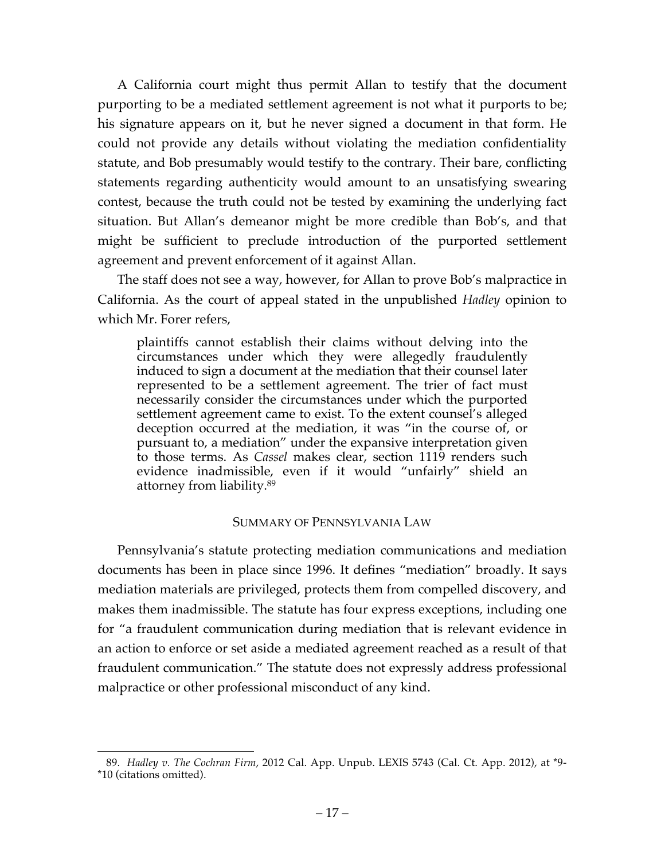A California court might thus permit Allan to testify that the document purporting to be a mediated settlement agreement is not what it purports to be; his signature appears on it, but he never signed a document in that form. He could not provide any details without violating the mediation confidentiality statute, and Bob presumably would testify to the contrary. Their bare, conflicting statements regarding authenticity would amount to an unsatisfying swearing contest, because the truth could not be tested by examining the underlying fact situation. But Allan's demeanor might be more credible than Bob's, and that might be sufficient to preclude introduction of the purported settlement agreement and prevent enforcement of it against Allan.

The staff does not see a way, however, for Allan to prove Bob's malpractice in California. As the court of appeal stated in the unpublished *Hadley* opinion to which Mr. Forer refers,

plaintiffs cannot establish their claims without delving into the circumstances under which they were allegedly fraudulently induced to sign a document at the mediation that their counsel later represented to be a settlement agreement. The trier of fact must necessarily consider the circumstances under which the purported settlement agreement came to exist. To the extent counsel's alleged deception occurred at the mediation, it was "in the course of, or pursuant to, a mediation" under the expansive interpretation given to those terms. As *Cassel* makes clear, section 1119 renders such evidence inadmissible, even if it would "unfairly" shield an attorney from liability.89

#### SUMMARY OF PENNSYLVANIA LAW

Pennsylvania's statute protecting mediation communications and mediation documents has been in place since 1996. It defines "mediation" broadly. It says mediation materials are privileged, protects them from compelled discovery, and makes them inadmissible. The statute has four express exceptions, including one for "a fraudulent communication during mediation that is relevant evidence in an action to enforce or set aside a mediated agreement reached as a result of that fraudulent communication." The statute does not expressly address professional malpractice or other professional misconduct of any kind.

 <sup>89.</sup> *Hadley v. The Cochran Firm*, 2012 Cal. App. Unpub. LEXIS 5743 (Cal. Ct. App. 2012), at \*9- \*10 (citations omitted).